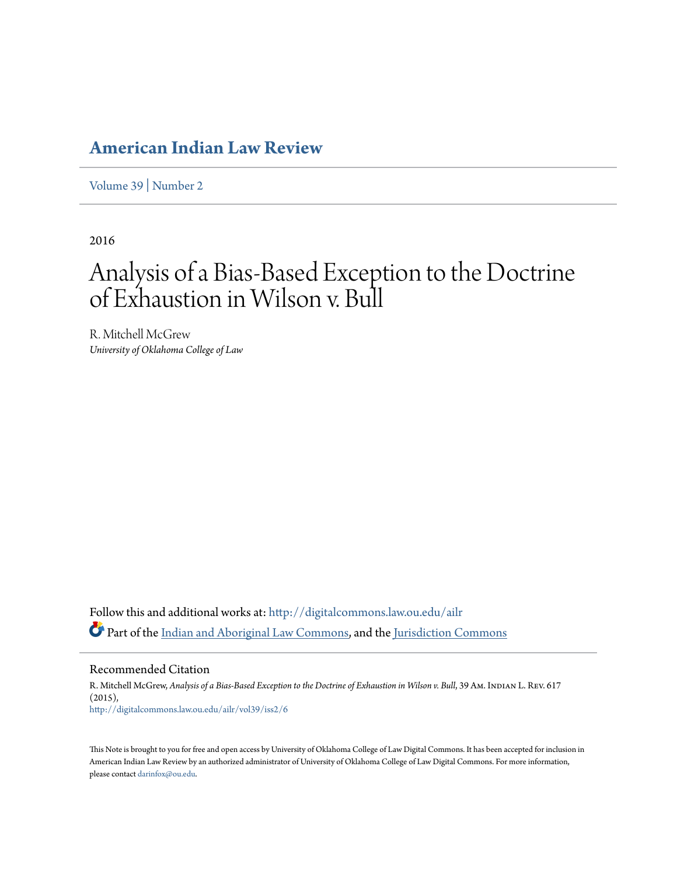# **[American Indian Law Review](http://digitalcommons.law.ou.edu/ailr?utm_source=digitalcommons.law.ou.edu%2Failr%2Fvol39%2Fiss2%2F6&utm_medium=PDF&utm_campaign=PDFCoverPages)**

[Volume 39](http://digitalcommons.law.ou.edu/ailr/vol39?utm_source=digitalcommons.law.ou.edu%2Failr%2Fvol39%2Fiss2%2F6&utm_medium=PDF&utm_campaign=PDFCoverPages) | [Number 2](http://digitalcommons.law.ou.edu/ailr/vol39/iss2?utm_source=digitalcommons.law.ou.edu%2Failr%2Fvol39%2Fiss2%2F6&utm_medium=PDF&utm_campaign=PDFCoverPages)

2016

# Analysis of a Bias-Based Exception to the Doctrine of Exhaustion in Wilson v. Bull

R. Mitchell McGrew *University of Oklahoma College of Law*

Follow this and additional works at: [http://digitalcommons.law.ou.edu/ailr](http://digitalcommons.law.ou.edu/ailr?utm_source=digitalcommons.law.ou.edu%2Failr%2Fvol39%2Fiss2%2F6&utm_medium=PDF&utm_campaign=PDFCoverPages) Part of the [Indian and Aboriginal Law Commons](http://network.bepress.com/hgg/discipline/894?utm_source=digitalcommons.law.ou.edu%2Failr%2Fvol39%2Fiss2%2F6&utm_medium=PDF&utm_campaign=PDFCoverPages), and the [Jurisdiction Commons](http://network.bepress.com/hgg/discipline/850?utm_source=digitalcommons.law.ou.edu%2Failr%2Fvol39%2Fiss2%2F6&utm_medium=PDF&utm_campaign=PDFCoverPages)

Recommended Citation

R. Mitchell McGrew, *Analysis of a Bias-Based Exception to the Doctrine of Exhaustion in Wilson v. Bull, 39 Am. INDIAN L. REV. 617* (2015), [http://digitalcommons.law.ou.edu/ailr/vol39/iss2/6](http://digitalcommons.law.ou.edu/ailr/vol39/iss2/6?utm_source=digitalcommons.law.ou.edu%2Failr%2Fvol39%2Fiss2%2F6&utm_medium=PDF&utm_campaign=PDFCoverPages)

This Note is brought to you for free and open access by University of Oklahoma College of Law Digital Commons. It has been accepted for inclusion in American Indian Law Review by an authorized administrator of University of Oklahoma College of Law Digital Commons. For more information, please contact [darinfox@ou.edu.](mailto:darinfox@ou.edu)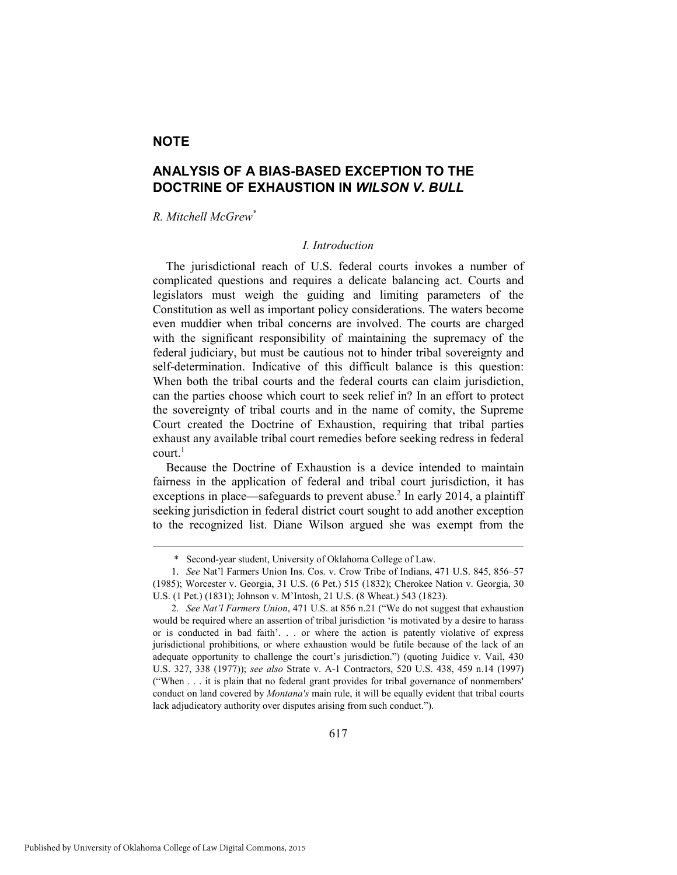## **NOTE**

# **ANALYSIS OF A BIAS-BASED EXCEPTION TO THE DOCTRINE OF EXHAUSTION IN** *WILSON V. BULL*

*R. Mitchell McGrew\**

#### *I. Introduction*

The jurisdictional reach of U.S. federal courts invokes a number of complicated questions and requires a delicate balancing act. Courts and legislators must weigh the guiding and limiting parameters of the Constitution as well as important policy considerations. The waters become even muddier when tribal concerns are involved. The courts are charged with the significant responsibility of maintaining the supremacy of the federal judiciary, but must be cautious not to hinder tribal sovereignty and self-determination. Indicative of this difficult balance is this question: When both the tribal courts and the federal courts can claim jurisdiction, can the parties choose which court to seek relief in? In an effort to protect the sovereignty of tribal courts and in the name of comity, the Supreme Court created the Doctrine of Exhaustion, requiring that tribal parties exhaust any available tribal court remedies before seeking redress in federal court $<sup>1</sup>$ </sup>

Because the Doctrine of Exhaustion is a device intended to maintain fairness in the application of federal and tribal court jurisdiction, it has exceptions in place—safeguards to prevent abuse.<sup>2</sup> In early 2014, a plaintiff seeking jurisdiction in federal district court sought to add another exception to the recognized list. Diane Wilson argued she was exempt from the

 <sup>\*</sup> Second-year student, University of Oklahoma College of Law.

 <sup>1.</sup> *See* Nat'l Farmers Union Ins. Cos. v. Crow Tribe of Indians, 471 U.S. 845, 856–57 (1985); Worcester v. Georgia, 31 U.S. (6 Pet.) 515 (1832); Cherokee Nation v. Georgia, 30 U.S. (1 Pet.) (1831); Johnson v. M'Intosh, 21 U.S. (8 Wheat.) 543 (1823).

 <sup>2.</sup> *See Nat'l Farmers Union*, 471 U.S. at 856 n.21 ("We do not suggest that exhaustion would be required where an assertion of tribal jurisdiction 'is motivated by a desire to harass or is conducted in bad faith'. . . or where the action is patently violative of express jurisdictional prohibitions, or where exhaustion would be futile because of the lack of an adequate opportunity to challenge the court's jurisdiction.") (quoting Juidice v. Vail, 430 U.S. 327, 338 (1977)); *see also* Strate v. A-1 Contractors, 520 U.S. 438, 459 n.14 (1997) ("When . . . it is plain that no federal grant provides for tribal governance of nonmembers' conduct on land covered by *Montana's* main rule, it will be equally evident that tribal courts lack adjudicatory authority over disputes arising from such conduct.").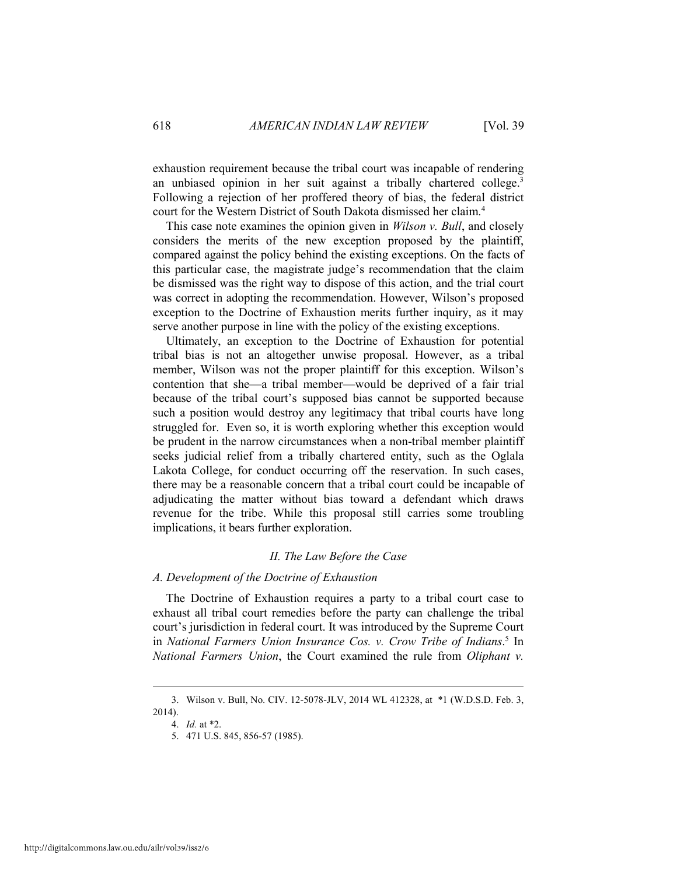exhaustion requirement because the tribal court was incapable of rendering an unbiased opinion in her suit against a tribally chartered college.<sup>3</sup> Following a rejection of her proffered theory of bias, the federal district court for the Western District of South Dakota dismissed her claim.4

This case note examines the opinion given in *Wilson v. Bull*, and closely considers the merits of the new exception proposed by the plaintiff, compared against the policy behind the existing exceptions. On the facts of this particular case, the magistrate judge's recommendation that the claim be dismissed was the right way to dispose of this action, and the trial court was correct in adopting the recommendation. However, Wilson's proposed exception to the Doctrine of Exhaustion merits further inquiry, as it may serve another purpose in line with the policy of the existing exceptions.

Ultimately, an exception to the Doctrine of Exhaustion for potential tribal bias is not an altogether unwise proposal. However, as a tribal member, Wilson was not the proper plaintiff for this exception. Wilson's contention that she—a tribal member—would be deprived of a fair trial because of the tribal court's supposed bias cannot be supported because such a position would destroy any legitimacy that tribal courts have long struggled for. Even so, it is worth exploring whether this exception would be prudent in the narrow circumstances when a non-tribal member plaintiff seeks judicial relief from a tribally chartered entity, such as the Oglala Lakota College, for conduct occurring off the reservation. In such cases, there may be a reasonable concern that a tribal court could be incapable of adjudicating the matter without bias toward a defendant which draws revenue for the tribe. While this proposal still carries some troubling implications, it bears further exploration.

#### *II. The Law Before the Case*

#### *A. Development of the Doctrine of Exhaustion*

The Doctrine of Exhaustion requires a party to a tribal court case to exhaust all tribal court remedies before the party can challenge the tribal court's jurisdiction in federal court. It was introduced by the Supreme Court in *National Farmers Union Insurance Cos. v. Crow Tribe of Indians*. 5 In *National Farmers Union*, the Court examined the rule from *Oliphant v.* 

 <sup>3.</sup> Wilson v. Bull, No. CIV. 12-5078-JLV, 2014 WL 412328, at \*1 (W.D.S.D. Feb. 3, 2014).

 <sup>4.</sup> *Id.* at \*2.

 <sup>5. 471</sup> U.S. 845, 856-57 (1985).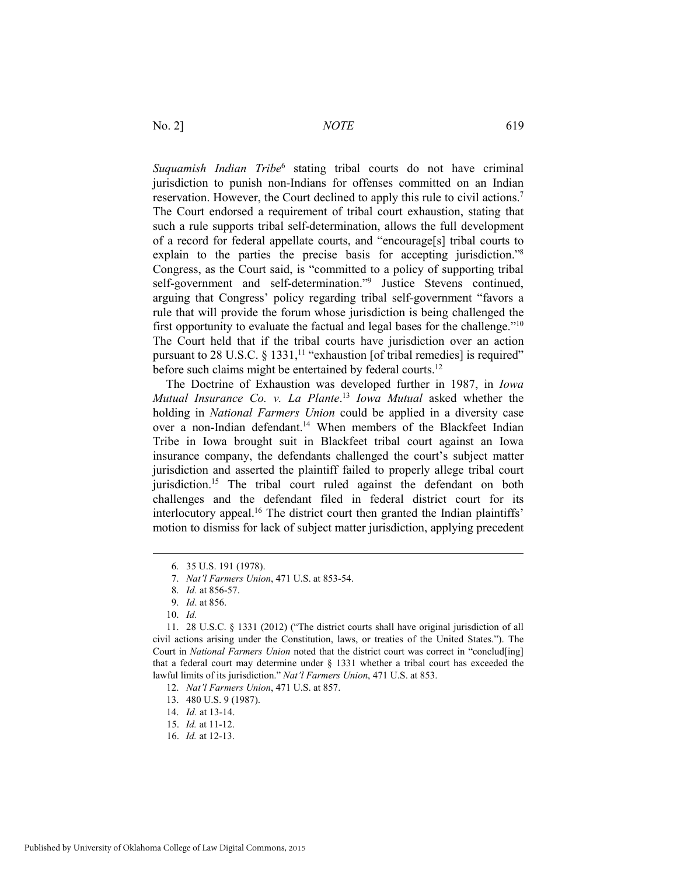Suquamish Indian Tribe<sup>6</sup> stating tribal courts do not have criminal jurisdiction to punish non-Indians for offenses committed on an Indian reservation. However, the Court declined to apply this rule to civil actions.7 The Court endorsed a requirement of tribal court exhaustion, stating that such a rule supports tribal self-determination, allows the full development of a record for federal appellate courts, and "encourage[s] tribal courts to explain to the parties the precise basis for accepting jurisdiction."8 Congress, as the Court said, is "committed to a policy of supporting tribal self-government and self-determination."<sup>9</sup> Justice Stevens continued, arguing that Congress' policy regarding tribal self-government "favors a rule that will provide the forum whose jurisdiction is being challenged the first opportunity to evaluate the factual and legal bases for the challenge."10 The Court held that if the tribal courts have jurisdiction over an action pursuant to 28 U.S.C. § 1331,<sup>11</sup> "exhaustion [of tribal remedies] is required" before such claims might be entertained by federal courts.<sup>12</sup>

The Doctrine of Exhaustion was developed further in 1987, in *Iowa Mutual Insurance Co. v. La Plante*. <sup>13</sup> *Iowa Mutual* asked whether the holding in *National Farmers Union* could be applied in a diversity case over a non-Indian defendant.<sup>14</sup> When members of the Blackfeet Indian Tribe in Iowa brought suit in Blackfeet tribal court against an Iowa insurance company, the defendants challenged the court's subject matter jurisdiction and asserted the plaintiff failed to properly allege tribal court jurisdiction.<sup>15</sup> The tribal court ruled against the defendant on both challenges and the defendant filed in federal district court for its interlocutory appeal.<sup>16</sup> The district court then granted the Indian plaintiffs' motion to dismiss for lack of subject matter jurisdiction, applying precedent

 <sup>6. 35</sup> U.S. 191 (1978).

 <sup>7.</sup> *Nat'l Farmers Union*, 471 U.S. at 853-54.

 <sup>8.</sup> *Id.* at 856-57.

 <sup>9.</sup> *Id*. at 856.

 <sup>10.</sup> *Id.* 

 <sup>11. 28</sup> U.S.C. § 1331 (2012) ("The district courts shall have original jurisdiction of all civil actions arising under the Constitution, laws, or treaties of the United States."). The Court in *National Farmers Union* noted that the district court was correct in "conclud[ing] that a federal court may determine under § 1331 whether a tribal court has exceeded the lawful limits of its jurisdiction." *Nat'l Farmers Union*, 471 U.S. at 853.

 <sup>12.</sup> *Nat'l Farmers Union*, 471 U.S. at 857.

 <sup>13. 480</sup> U.S. 9 (1987).

 <sup>14.</sup> *Id.* at 13-14.

 <sup>15.</sup> *Id.* at 11-12.

 <sup>16.</sup> *Id.* at 12-13.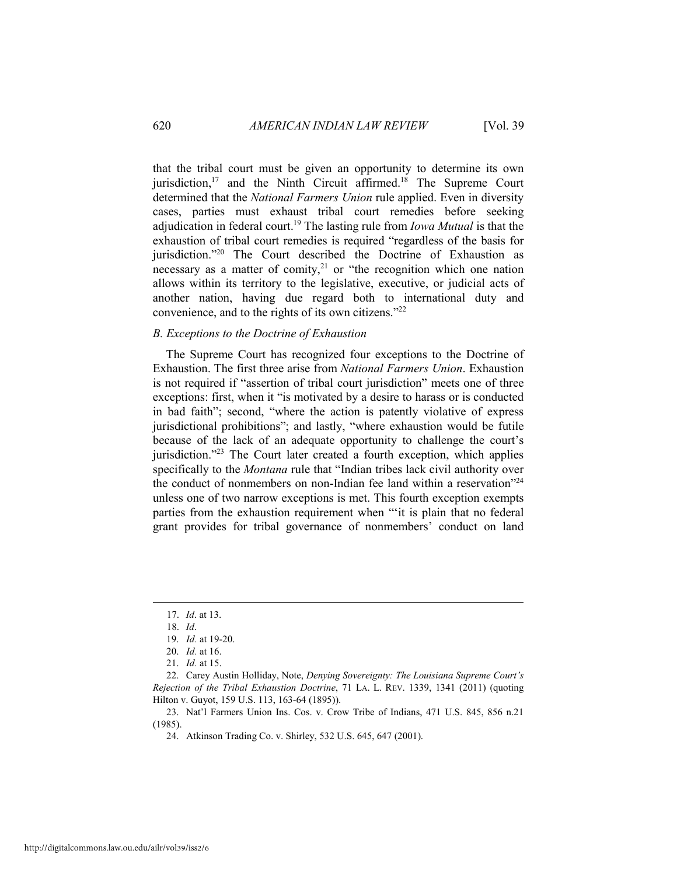that the tribal court must be given an opportunity to determine its own jurisdiction,<sup>17</sup> and the Ninth Circuit affirmed.<sup>18</sup> The Supreme Court determined that the *National Farmers Union* rule applied. Even in diversity cases, parties must exhaust tribal court remedies before seeking adjudication in federal court.19 The lasting rule from *Iowa Mutual* is that the exhaustion of tribal court remedies is required "regardless of the basis for jurisdiction."<sup>20</sup> The Court described the Doctrine of Exhaustion as necessary as a matter of comity, $2<sup>1</sup>$  or "the recognition which one nation allows within its territory to the legislative, executive, or judicial acts of another nation, having due regard both to international duty and convenience, and to the rights of its own citizens."22

#### *B. Exceptions to the Doctrine of Exhaustion*

The Supreme Court has recognized four exceptions to the Doctrine of Exhaustion. The first three arise from *National Farmers Union*. Exhaustion is not required if "assertion of tribal court jurisdiction" meets one of three exceptions: first, when it "is motivated by a desire to harass or is conducted in bad faith"; second, "where the action is patently violative of express jurisdictional prohibitions"; and lastly, "where exhaustion would be futile because of the lack of an adequate opportunity to challenge the court's jurisdiction."23 The Court later created a fourth exception, which applies specifically to the *Montana* rule that "Indian tribes lack civil authority over the conduct of nonmembers on non-Indian fee land within a reservation"24 unless one of two narrow exceptions is met. This fourth exception exempts parties from the exhaustion requirement when "'it is plain that no federal grant provides for tribal governance of nonmembers' conduct on land

 <sup>17.</sup> *Id*. at 13.

 <sup>18.</sup> *Id*.

 <sup>19.</sup> *Id.* at 19-20.

 <sup>20.</sup> *Id.* at 16.

 <sup>21.</sup> *Id.* at 15.

 <sup>22.</sup> Carey Austin Holliday, Note, *Denying Sovereignty: The Louisiana Supreme Court's Rejection of the Tribal Exhaustion Doctrine*, 71 LA. L. REV. 1339, 1341 (2011) (quoting Hilton v. Guyot, 159 U.S. 113, 163-64 (1895)).

 <sup>23.</sup> Nat'l Farmers Union Ins. Cos. v. Crow Tribe of Indians, 471 U.S. 845, 856 n.21 (1985).

 <sup>24.</sup> Atkinson Trading Co. v. Shirley, 532 U.S. 645, 647 (2001).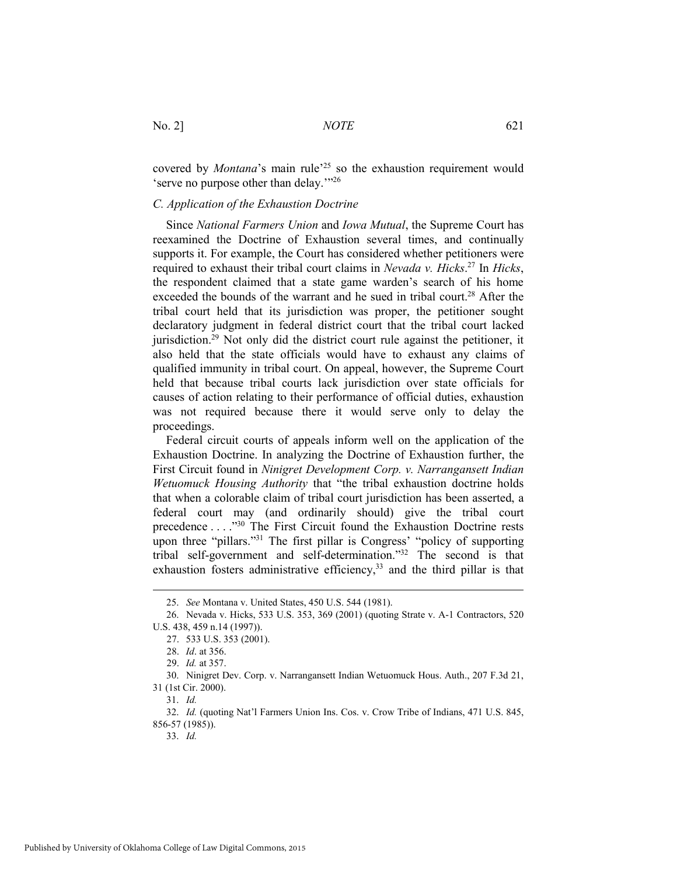No. 2] *NOTE* 621

covered by *Montana*'s main rule<sup>25</sup> so the exhaustion requirement would 'serve no purpose other than delay.'"26

#### *C. Application of the Exhaustion Doctrine*

Since *National Farmers Union* and *Iowa Mutual*, the Supreme Court has reexamined the Doctrine of Exhaustion several times, and continually supports it. For example, the Court has considered whether petitioners were required to exhaust their tribal court claims in *Nevada v. Hicks*. 27 In *Hicks*, the respondent claimed that a state game warden's search of his home exceeded the bounds of the warrant and he sued in tribal court.<sup>28</sup> After the tribal court held that its jurisdiction was proper, the petitioner sought declaratory judgment in federal district court that the tribal court lacked jurisdiction.29 Not only did the district court rule against the petitioner, it also held that the state officials would have to exhaust any claims of qualified immunity in tribal court. On appeal, however, the Supreme Court held that because tribal courts lack jurisdiction over state officials for causes of action relating to their performance of official duties, exhaustion was not required because there it would serve only to delay the proceedings.

Federal circuit courts of appeals inform well on the application of the Exhaustion Doctrine. In analyzing the Doctrine of Exhaustion further, the First Circuit found in *Ninigret Development Corp. v. Narrangansett Indian Wetuomuck Housing Authority* that "the tribal exhaustion doctrine holds that when a colorable claim of tribal court jurisdiction has been asserted, a federal court may (and ordinarily should) give the tribal court precedence . . . ."30 The First Circuit found the Exhaustion Doctrine rests upon three "pillars."<sup>31</sup> The first pillar is Congress' "policy of supporting tribal self-government and self-determination."32 The second is that exhaustion fosters administrative efficiency,<sup>33</sup> and the third pillar is that

 <sup>25.</sup> *See* Montana v. United States, 450 U.S. 544 (1981).

 <sup>26.</sup> Nevada v. Hicks, 533 U.S. 353, 369 (2001) (quoting Strate v. A-1 Contractors, 520 U.S. 438, 459 n.14 (1997)).

 <sup>27. 533</sup> U.S. 353 (2001).

 <sup>28.</sup> *Id*. at 356.

 <sup>29.</sup> *Id.* at 357.

 <sup>30.</sup> Ninigret Dev. Corp. v. Narrangansett Indian Wetuomuck Hous. Auth., 207 F.3d 21, 31 (1st Cir. 2000).

 <sup>31.</sup> *Id.*

 <sup>32.</sup> *Id.* (quoting Nat'l Farmers Union Ins. Cos. v. Crow Tribe of Indians, 471 U.S. 845, 856-57 (1985)).

 <sup>33.</sup> *Id.*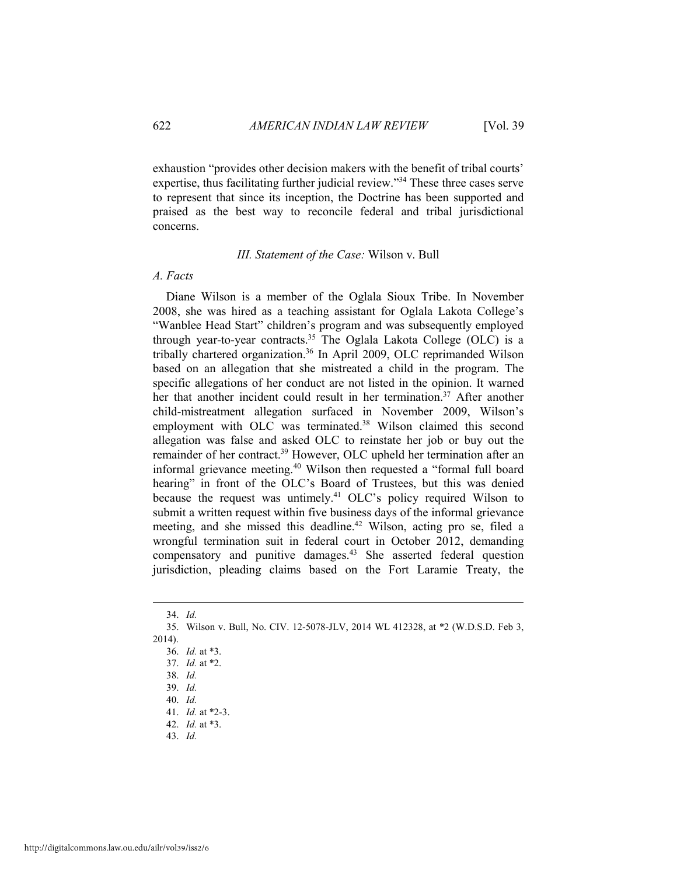exhaustion "provides other decision makers with the benefit of tribal courts' expertise, thus facilitating further judicial review."34 These three cases serve to represent that since its inception, the Doctrine has been supported and praised as the best way to reconcile federal and tribal jurisdictional concerns.

#### *III. Statement of the Case:* Wilson v. Bull

#### *A. Facts*

Diane Wilson is a member of the Oglala Sioux Tribe. In November 2008, she was hired as a teaching assistant for Oglala Lakota College's "Wanblee Head Start" children's program and was subsequently employed through year-to-year contracts.<sup>35</sup> The Oglala Lakota College (OLC) is a tribally chartered organization.36 In April 2009, OLC reprimanded Wilson based on an allegation that she mistreated a child in the program. The specific allegations of her conduct are not listed in the opinion. It warned her that another incident could result in her termination.<sup>37</sup> After another child-mistreatment allegation surfaced in November 2009, Wilson's employment with OLC was terminated.<sup>38</sup> Wilson claimed this second allegation was false and asked OLC to reinstate her job or buy out the remainder of her contract.39 However, OLC upheld her termination after an informal grievance meeting.40 Wilson then requested a "formal full board hearing" in front of the OLC's Board of Trustees, but this was denied because the request was untimely.<sup>41</sup> OLC's policy required Wilson to submit a written request within five business days of the informal grievance meeting, and she missed this deadline.<sup>42</sup> Wilson, acting pro se, filed a wrongful termination suit in federal court in October 2012, demanding compensatory and punitive damages.43 She asserted federal question jurisdiction, pleading claims based on the Fort Laramie Treaty, the

 $\overline{a}$ 

43. *Id.*

 <sup>34.</sup> *Id.* 

 <sup>35.</sup> Wilson v. Bull, No. CIV. 12-5078-JLV, 2014 WL 412328, at \*2 (W.D.S.D. Feb 3, 2014).

 <sup>36.</sup> *Id.* at \*3.

 <sup>37.</sup> *Id.* at \*2.

 <sup>38.</sup> *Id.*

 <sup>39.</sup> *Id.* 

 <sup>40.</sup> *Id.*

 <sup>41.</sup> *Id.* at \*2-3. 42. *Id.* at \*3.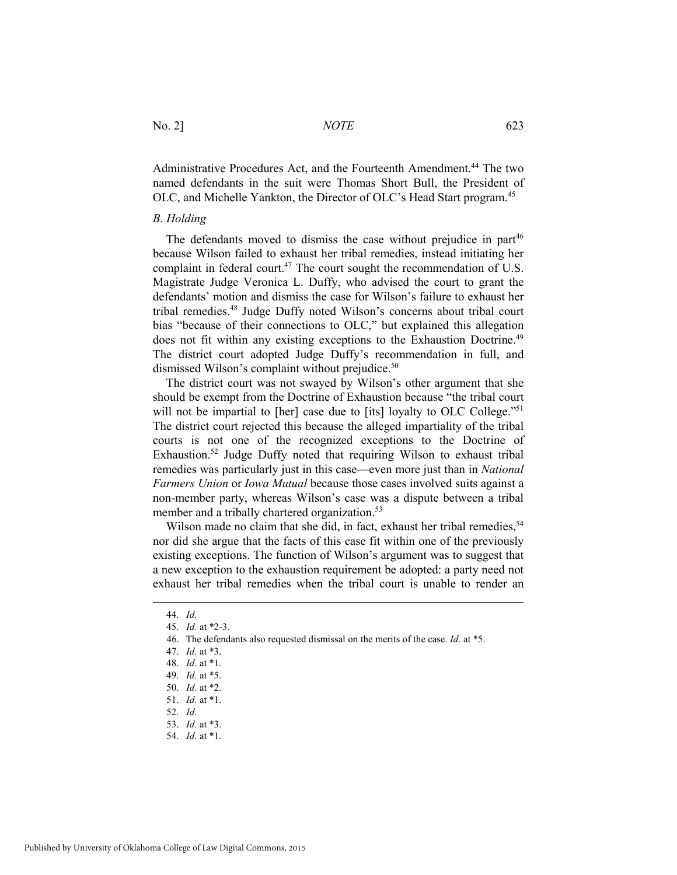Administrative Procedures Act, and the Fourteenth Amendment.<sup>44</sup> The two named defendants in the suit were Thomas Short Bull, the President of OLC, and Michelle Yankton, the Director of OLC's Head Start program.<sup>45</sup>

#### *B. Holding*

The defendants moved to dismiss the case without prejudice in part<sup>46</sup> because Wilson failed to exhaust her tribal remedies, instead initiating her complaint in federal court.<sup>47</sup> The court sought the recommendation of U.S. Magistrate Judge Veronica L. Duffy, who advised the court to grant the defendants' motion and dismiss the case for Wilson's failure to exhaust her tribal remedies.48 Judge Duffy noted Wilson's concerns about tribal court bias "because of their connections to OLC," but explained this allegation does not fit within any existing exceptions to the Exhaustion Doctrine.<sup>49</sup> The district court adopted Judge Duffy's recommendation in full, and dismissed Wilson's complaint without prejudice.<sup>50</sup>

The district court was not swayed by Wilson's other argument that she should be exempt from the Doctrine of Exhaustion because "the tribal court will not be impartial to [her] case due to [its] loyalty to OLC College."<sup>51</sup> The district court rejected this because the alleged impartiality of the tribal courts is not one of the recognized exceptions to the Doctrine of Exhaustion.52 Judge Duffy noted that requiring Wilson to exhaust tribal remedies was particularly just in this case—even more just than in *National Farmers Union* or *Iowa Mutual* because those cases involved suits against a non-member party, whereas Wilson's case was a dispute between a tribal member and a tribally chartered organization.<sup>53</sup>

Wilson made no claim that she did, in fact, exhaust her tribal remedies,<sup>54</sup> nor did she argue that the facts of this case fit within one of the previously existing exceptions. The function of Wilson's argument was to suggest that a new exception to the exhaustion requirement be adopted: a party need not exhaust her tribal remedies when the tribal court is unable to render an

 <sup>44.</sup> *Id.*

 <sup>45.</sup> *Id.* at \*2-3.

 <sup>46.</sup> The defendants also requested dismissal on the merits of the case. *Id*. at \*5.

 <sup>47.</sup> *Id.* at \*3.

 <sup>48.</sup> *Id*. at \*1.

 <sup>49.</sup> *Id.* at \*5.

 <sup>50.</sup> *Id.* at \*2.

 <sup>51.</sup> *Id.* at \*1.

 <sup>52.</sup> *Id.*

 <sup>53.</sup> *Id.* at \*3.

 <sup>54.</sup> *Id.* at \*1.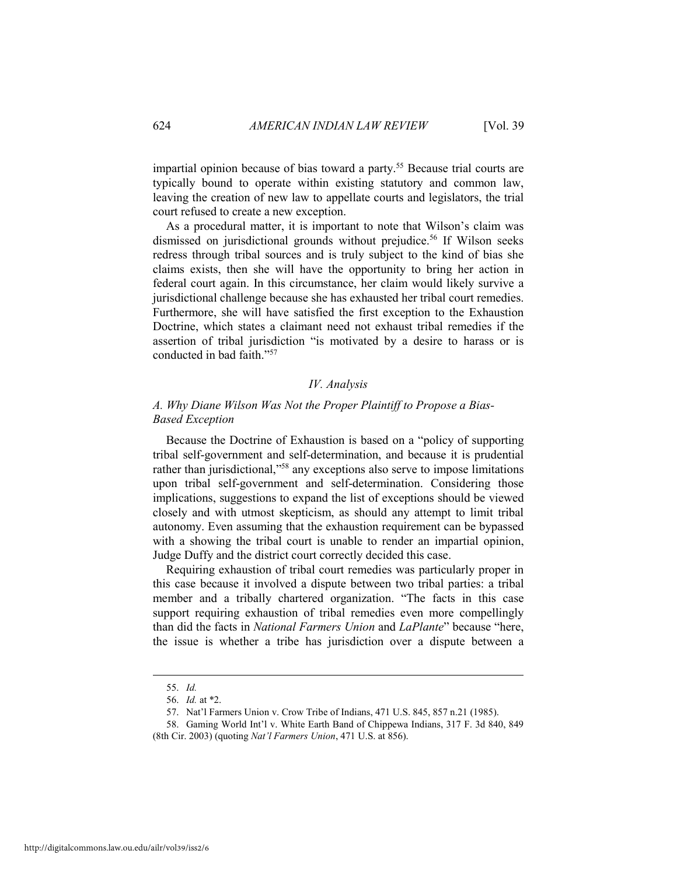impartial opinion because of bias toward a party.<sup>55</sup> Because trial courts are typically bound to operate within existing statutory and common law, leaving the creation of new law to appellate courts and legislators, the trial court refused to create a new exception.

As a procedural matter, it is important to note that Wilson's claim was dismissed on jurisdictional grounds without prejudice.<sup>56</sup> If Wilson seeks redress through tribal sources and is truly subject to the kind of bias she claims exists, then she will have the opportunity to bring her action in federal court again. In this circumstance, her claim would likely survive a jurisdictional challenge because she has exhausted her tribal court remedies. Furthermore, she will have satisfied the first exception to the Exhaustion Doctrine, which states a claimant need not exhaust tribal remedies if the assertion of tribal jurisdiction "is motivated by a desire to harass or is conducted in bad faith."57

#### *IV. Analysis*

#### *A. Why Diane Wilson Was Not the Proper Plaintiff to Propose a Bias-Based Exception*

Because the Doctrine of Exhaustion is based on a "policy of supporting tribal self-government and self-determination, and because it is prudential rather than jurisdictional,"58 any exceptions also serve to impose limitations upon tribal self-government and self-determination. Considering those implications, suggestions to expand the list of exceptions should be viewed closely and with utmost skepticism, as should any attempt to limit tribal autonomy. Even assuming that the exhaustion requirement can be bypassed with a showing the tribal court is unable to render an impartial opinion, Judge Duffy and the district court correctly decided this case.

Requiring exhaustion of tribal court remedies was particularly proper in this case because it involved a dispute between two tribal parties: a tribal member and a tribally chartered organization. "The facts in this case support requiring exhaustion of tribal remedies even more compellingly than did the facts in *National Farmers Union* and *LaPlante*" because "here, the issue is whether a tribe has jurisdiction over a dispute between a

 <sup>55.</sup> *Id.*

 <sup>56.</sup> *Id.* at \*2.

 <sup>57.</sup> Nat'l Farmers Union v. Crow Tribe of Indians, 471 U.S. 845, 857 n.21 (1985).

 <sup>58.</sup> Gaming World Int'l v. White Earth Band of Chippewa Indians, 317 F. 3d 840, 849 (8th Cir. 2003) (quoting *Nat'l Farmers Union*, 471 U.S. at 856).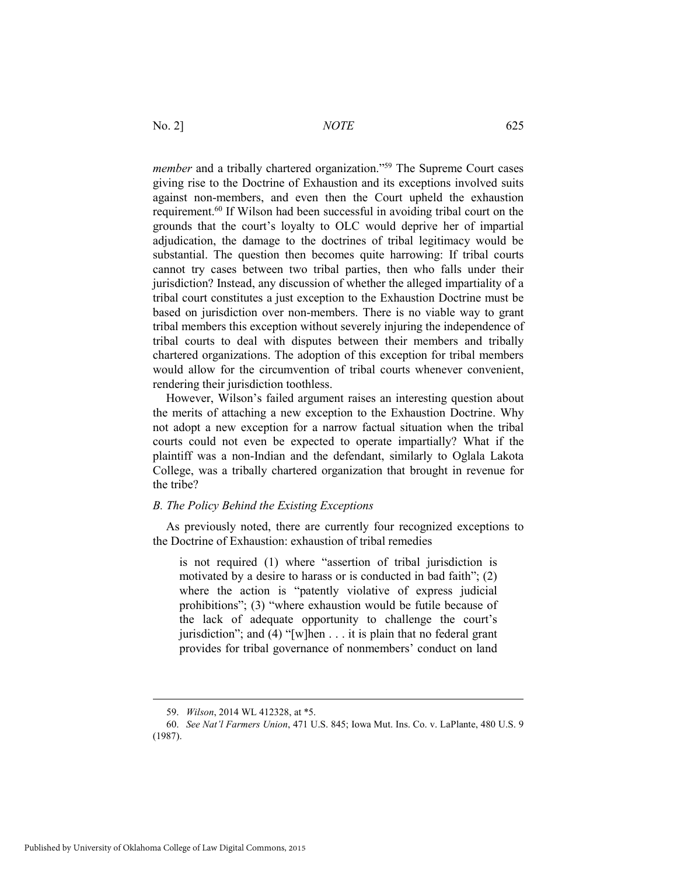*member* and a tribally chartered organization."<sup>59</sup> The Supreme Court cases giving rise to the Doctrine of Exhaustion and its exceptions involved suits against non-members, and even then the Court upheld the exhaustion requirement.60 If Wilson had been successful in avoiding tribal court on the grounds that the court's loyalty to OLC would deprive her of impartial adjudication, the damage to the doctrines of tribal legitimacy would be substantial. The question then becomes quite harrowing: If tribal courts cannot try cases between two tribal parties, then who falls under their jurisdiction? Instead, any discussion of whether the alleged impartiality of a tribal court constitutes a just exception to the Exhaustion Doctrine must be based on jurisdiction over non-members. There is no viable way to grant tribal members this exception without severely injuring the independence of tribal courts to deal with disputes between their members and tribally chartered organizations. The adoption of this exception for tribal members would allow for the circumvention of tribal courts whenever convenient, rendering their jurisdiction toothless.

However, Wilson's failed argument raises an interesting question about the merits of attaching a new exception to the Exhaustion Doctrine. Why not adopt a new exception for a narrow factual situation when the tribal courts could not even be expected to operate impartially? What if the plaintiff was a non-Indian and the defendant, similarly to Oglala Lakota College, was a tribally chartered organization that brought in revenue for the tribe?

#### *B. The Policy Behind the Existing Exceptions*

As previously noted, there are currently four recognized exceptions to the Doctrine of Exhaustion: exhaustion of tribal remedies

is not required (1) where "assertion of tribal jurisdiction is motivated by a desire to harass or is conducted in bad faith"; (2) where the action is "patently violative of express judicial prohibitions"; (3) "where exhaustion would be futile because of the lack of adequate opportunity to challenge the court's jurisdiction"; and  $(4)$  "[w]hen . . . it is plain that no federal grant provides for tribal governance of nonmembers' conduct on land

 <sup>59.</sup> *Wilson*, 2014 WL 412328, at \*5.

 <sup>60.</sup> *See Nat'l Farmers Union*, 471 U.S. 845; Iowa Mut. Ins. Co. v. LaPlante, 480 U.S. 9 (1987).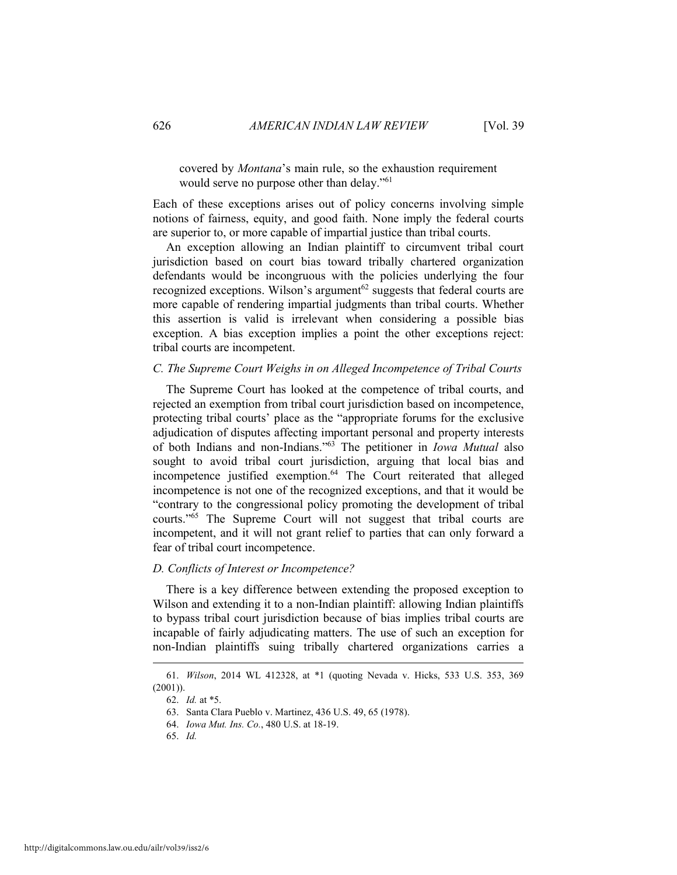#### covered by *Montana*'s main rule, so the exhaustion requirement would serve no purpose other than delay."<sup>61</sup>

Each of these exceptions arises out of policy concerns involving simple notions of fairness, equity, and good faith. None imply the federal courts are superior to, or more capable of impartial justice than tribal courts.

An exception allowing an Indian plaintiff to circumvent tribal court jurisdiction based on court bias toward tribally chartered organization defendants would be incongruous with the policies underlying the four recognized exceptions. Wilson's argument<sup> $62$ </sup> suggests that federal courts are more capable of rendering impartial judgments than tribal courts. Whether this assertion is valid is irrelevant when considering a possible bias exception. A bias exception implies a point the other exceptions reject: tribal courts are incompetent.

#### *C. The Supreme Court Weighs in on Alleged Incompetence of Tribal Courts*

The Supreme Court has looked at the competence of tribal courts, and rejected an exemption from tribal court jurisdiction based on incompetence, protecting tribal courts' place as the "appropriate forums for the exclusive adjudication of disputes affecting important personal and property interests of both Indians and non-Indians."63 The petitioner in *Iowa Mutual* also sought to avoid tribal court jurisdiction, arguing that local bias and incompetence justified exemption.<sup>64</sup> The Court reiterated that alleged incompetence is not one of the recognized exceptions, and that it would be "contrary to the congressional policy promoting the development of tribal courts."65 The Supreme Court will not suggest that tribal courts are incompetent, and it will not grant relief to parties that can only forward a fear of tribal court incompetence.

#### *D. Conflicts of Interest or Incompetence?*

There is a key difference between extending the proposed exception to Wilson and extending it to a non-Indian plaintiff: allowing Indian plaintiffs to bypass tribal court jurisdiction because of bias implies tribal courts are incapable of fairly adjudicating matters. The use of such an exception for non-Indian plaintiffs suing tribally chartered organizations carries a

 <sup>61.</sup> *Wilson*, 2014 WL 412328, at \*1 (quoting Nevada v. Hicks, 533 U.S. 353, 369  $(2001)$ ).

 <sup>62.</sup> *Id.* at \*5.

 <sup>63.</sup> Santa Clara Pueblo v. Martinez, 436 U.S. 49, 65 (1978).

 <sup>64.</sup> *Iowa Mut. Ins. Co.*, 480 U.S. at 18-19.

 <sup>65.</sup> *Id.*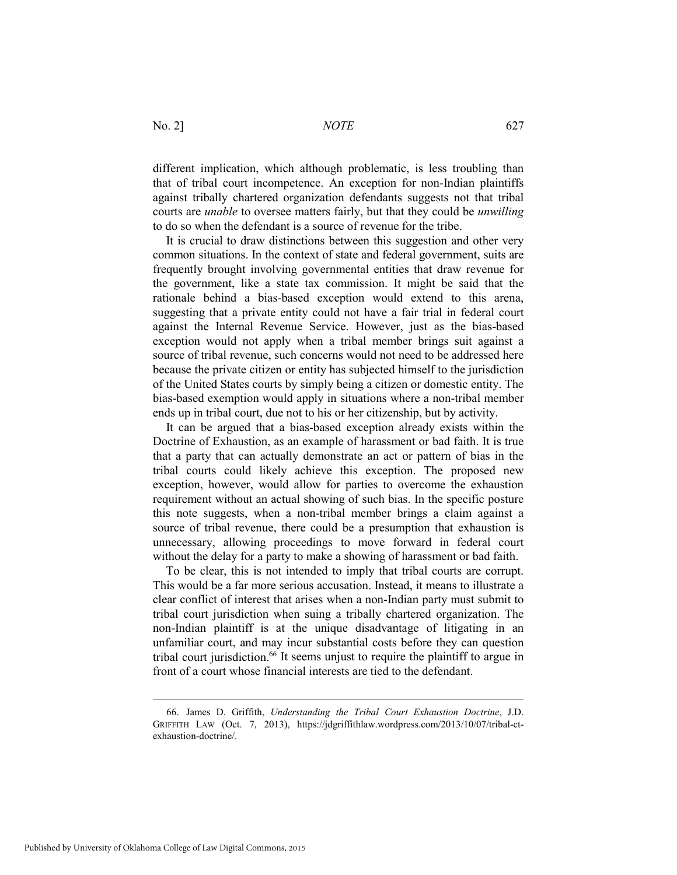different implication, which although problematic, is less troubling than that of tribal court incompetence. An exception for non-Indian plaintiffs against tribally chartered organization defendants suggests not that tribal courts are *unable* to oversee matters fairly, but that they could be *unwilling* to do so when the defendant is a source of revenue for the tribe.

It is crucial to draw distinctions between this suggestion and other very common situations. In the context of state and federal government, suits are frequently brought involving governmental entities that draw revenue for the government, like a state tax commission. It might be said that the rationale behind a bias-based exception would extend to this arena, suggesting that a private entity could not have a fair trial in federal court against the Internal Revenue Service. However, just as the bias-based exception would not apply when a tribal member brings suit against a source of tribal revenue, such concerns would not need to be addressed here because the private citizen or entity has subjected himself to the jurisdiction of the United States courts by simply being a citizen or domestic entity. The bias-based exemption would apply in situations where a non-tribal member ends up in tribal court, due not to his or her citizenship, but by activity.

It can be argued that a bias-based exception already exists within the Doctrine of Exhaustion, as an example of harassment or bad faith. It is true that a party that can actually demonstrate an act or pattern of bias in the tribal courts could likely achieve this exception. The proposed new exception, however, would allow for parties to overcome the exhaustion requirement without an actual showing of such bias. In the specific posture this note suggests, when a non-tribal member brings a claim against a source of tribal revenue, there could be a presumption that exhaustion is unnecessary, allowing proceedings to move forward in federal court without the delay for a party to make a showing of harassment or bad faith.

To be clear, this is not intended to imply that tribal courts are corrupt. This would be a far more serious accusation. Instead, it means to illustrate a clear conflict of interest that arises when a non-Indian party must submit to tribal court jurisdiction when suing a tribally chartered organization. The non-Indian plaintiff is at the unique disadvantage of litigating in an unfamiliar court, and may incur substantial costs before they can question tribal court jurisdiction.<sup>66</sup> It seems unjust to require the plaintiff to argue in front of a court whose financial interests are tied to the defendant.

 <sup>66.</sup> James D. Griffith, *Understanding the Tribal Court Exhaustion Doctrine*, J.D. GRIFFITH LAW (Oct. 7, 2013), https://jdgriffithlaw.wordpress.com/2013/10/07/tribal-ctexhaustion-doctrine/.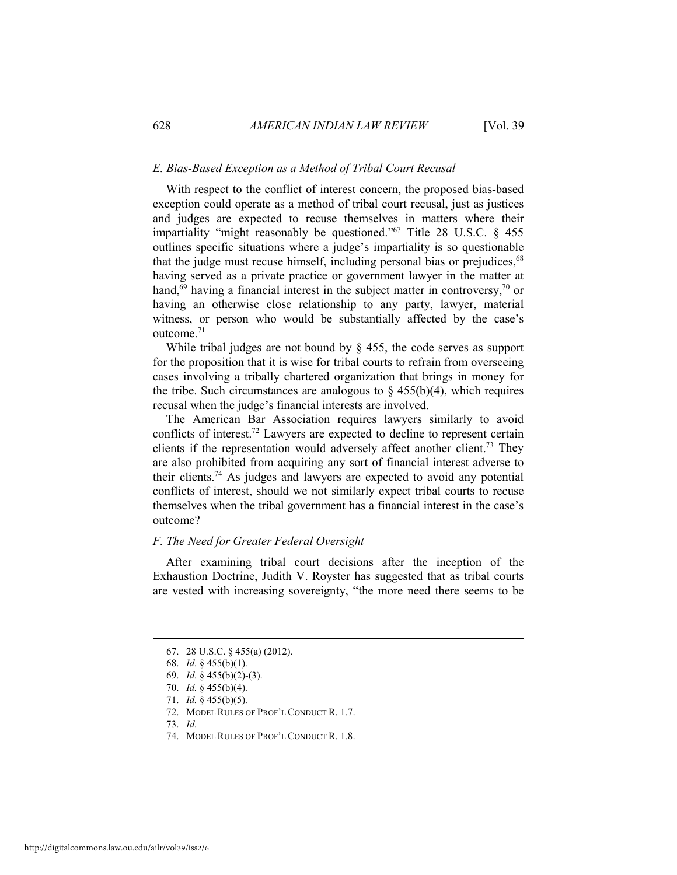#### *E. Bias-Based Exception as a Method of Tribal Court Recusal*

With respect to the conflict of interest concern, the proposed bias-based exception could operate as a method of tribal court recusal, just as justices and judges are expected to recuse themselves in matters where their impartiality "might reasonably be questioned."67 Title 28 U.S.C. § 455 outlines specific situations where a judge's impartiality is so questionable that the judge must recuse himself, including personal bias or prejudices,<sup>68</sup> having served as a private practice or government lawyer in the matter at hand,<sup>69</sup> having a financial interest in the subject matter in controversy,<sup>70</sup> or having an otherwise close relationship to any party, lawyer, material witness, or person who would be substantially affected by the case's outcome.71

While tribal judges are not bound by  $\frac{1}{2}$  455, the code serves as support for the proposition that it is wise for tribal courts to refrain from overseeing cases involving a tribally chartered organization that brings in money for the tribe. Such circumstances are analogous to  $\S$  455(b)(4), which requires recusal when the judge's financial interests are involved.

The American Bar Association requires lawyers similarly to avoid conflicts of interest.72 Lawyers are expected to decline to represent certain clients if the representation would adversely affect another client.<sup>73</sup> They are also prohibited from acquiring any sort of financial interest adverse to their clients.74 As judges and lawyers are expected to avoid any potential conflicts of interest, should we not similarly expect tribal courts to recuse themselves when the tribal government has a financial interest in the case's outcome?

#### *F. The Need for Greater Federal Oversight*

After examining tribal court decisions after the inception of the Exhaustion Doctrine, Judith V. Royster has suggested that as tribal courts are vested with increasing sovereignty, "the more need there seems to be

 $\overline{a}$ 

74. MODEL RULES OF PROF'L CONDUCT R. 1.8.

 <sup>67. 28</sup> U.S.C. § 455(a) (2012).

 <sup>68.</sup> *Id.* § 455(b)(1).

 <sup>69.</sup> *Id.* § 455(b)(2)-(3).

 <sup>70.</sup> *Id.* § 455(b)(4).

 <sup>71.</sup> *Id.* § 455(b)(5).

 <sup>72.</sup> MODEL RULES OF PROF'L CONDUCT R. 1.7.

 <sup>73.</sup> *Id.*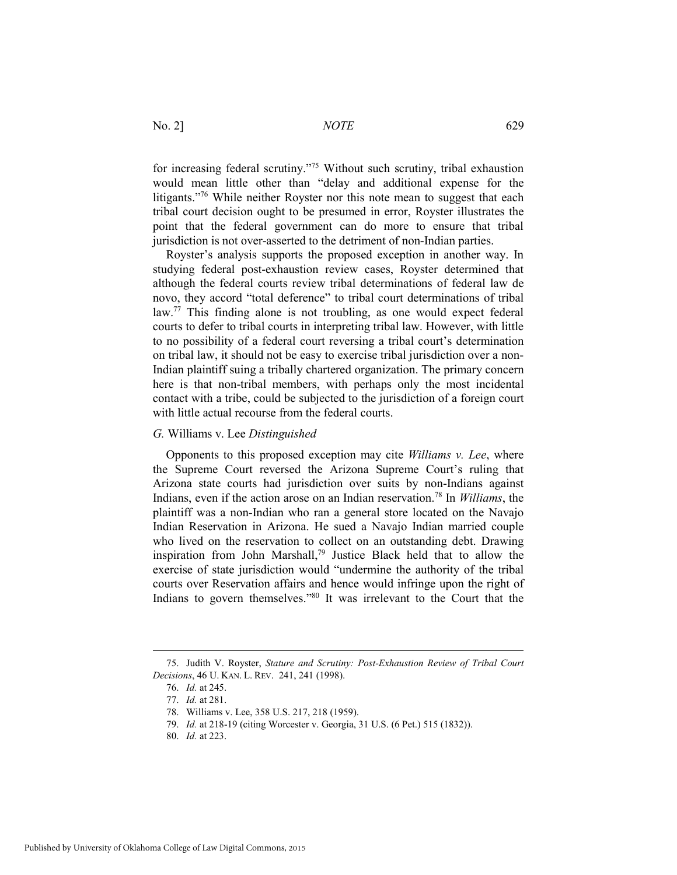for increasing federal scrutiny."75 Without such scrutiny, tribal exhaustion would mean little other than "delay and additional expense for the litigants."76 While neither Royster nor this note mean to suggest that each tribal court decision ought to be presumed in error, Royster illustrates the point that the federal government can do more to ensure that tribal jurisdiction is not over-asserted to the detriment of non-Indian parties.

Royster's analysis supports the proposed exception in another way. In studying federal post-exhaustion review cases, Royster determined that although the federal courts review tribal determinations of federal law de novo, they accord "total deference" to tribal court determinations of tribal law.<sup>77</sup> This finding alone is not troubling, as one would expect federal courts to defer to tribal courts in interpreting tribal law. However, with little to no possibility of a federal court reversing a tribal court's determination on tribal law, it should not be easy to exercise tribal jurisdiction over a non-Indian plaintiff suing a tribally chartered organization. The primary concern here is that non-tribal members, with perhaps only the most incidental contact with a tribe, could be subjected to the jurisdiction of a foreign court with little actual recourse from the federal courts.

#### *G.* Williams v. Lee *Distinguished*

Opponents to this proposed exception may cite *Williams v. Lee*, where the Supreme Court reversed the Arizona Supreme Court's ruling that Arizona state courts had jurisdiction over suits by non-Indians against Indians, even if the action arose on an Indian reservation.78 In *Williams*, the plaintiff was a non-Indian who ran a general store located on the Navajo Indian Reservation in Arizona. He sued a Navajo Indian married couple who lived on the reservation to collect on an outstanding debt. Drawing inspiration from John Marshall,79 Justice Black held that to allow the exercise of state jurisdiction would "undermine the authority of the tribal courts over Reservation affairs and hence would infringe upon the right of Indians to govern themselves."80 It was irrelevant to the Court that the

 <sup>75.</sup> Judith V. Royster, *Stature and Scrutiny: Post-Exhaustion Review of Tribal Court Decisions*, 46 U. KAN. L. REV. 241, 241 (1998).

 <sup>76.</sup> *Id.* at 245.

 <sup>77.</sup> *Id.* at 281.

 <sup>78.</sup> Williams v. Lee, 358 U.S. 217, 218 (1959).

 <sup>79.</sup> *Id.* at 218-19 (citing Worcester v. Georgia, 31 U.S. (6 Pet.) 515 (1832)).

 <sup>80.</sup> *Id.* at 223.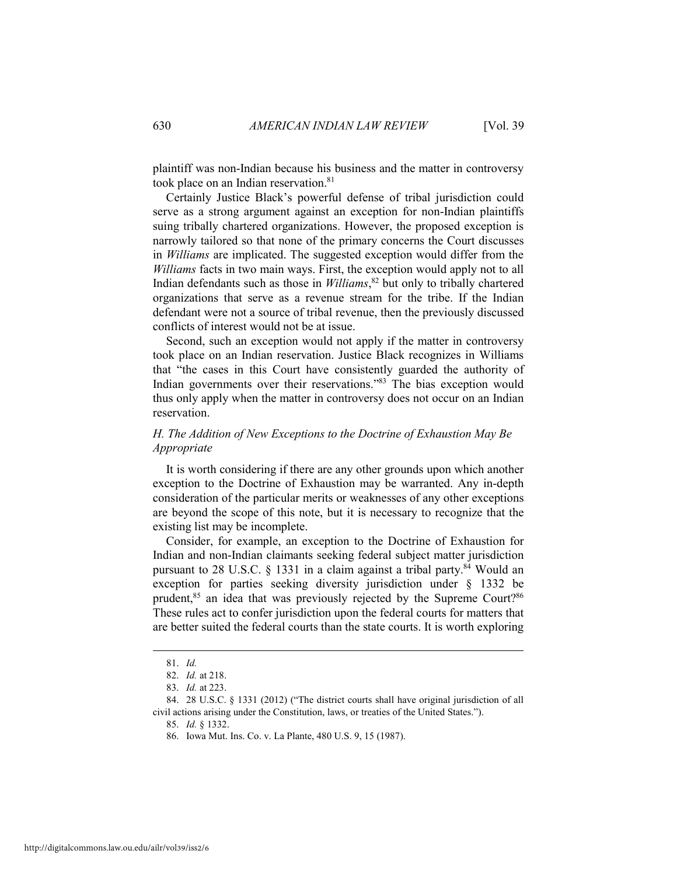plaintiff was non-Indian because his business and the matter in controversy took place on an Indian reservation.<sup>81</sup>

Certainly Justice Black's powerful defense of tribal jurisdiction could serve as a strong argument against an exception for non-Indian plaintiffs suing tribally chartered organizations. However, the proposed exception is narrowly tailored so that none of the primary concerns the Court discusses in *Williams* are implicated. The suggested exception would differ from the *Williams* facts in two main ways. First, the exception would apply not to all Indian defendants such as those in *Williams*, 82 but only to tribally chartered organizations that serve as a revenue stream for the tribe. If the Indian defendant were not a source of tribal revenue, then the previously discussed conflicts of interest would not be at issue.

Second, such an exception would not apply if the matter in controversy took place on an Indian reservation. Justice Black recognizes in Williams that "the cases in this Court have consistently guarded the authority of Indian governments over their reservations."83 The bias exception would thus only apply when the matter in controversy does not occur on an Indian reservation.

### *H. The Addition of New Exceptions to the Doctrine of Exhaustion May Be Appropriate*

It is worth considering if there are any other grounds upon which another exception to the Doctrine of Exhaustion may be warranted. Any in-depth consideration of the particular merits or weaknesses of any other exceptions are beyond the scope of this note, but it is necessary to recognize that the existing list may be incomplete.

Consider, for example, an exception to the Doctrine of Exhaustion for Indian and non-Indian claimants seeking federal subject matter jurisdiction pursuant to 28 U.S.C.  $\S$  1331 in a claim against a tribal party.<sup>84</sup> Would an exception for parties seeking diversity jurisdiction under § 1332 be prudent,<sup>85</sup> an idea that was previously rejected by the Supreme Court?<sup>86</sup> These rules act to confer jurisdiction upon the federal courts for matters that are better suited the federal courts than the state courts. It is worth exploring

 <sup>81.</sup> *Id.* 

 <sup>82.</sup> *Id.* at 218.

 <sup>83.</sup> *Id.* at 223.

 <sup>84. 28</sup> U.S.C. § 1331 (2012) ("The district courts shall have original jurisdiction of all civil actions arising under the Constitution, laws, or treaties of the United States.").

 <sup>85.</sup> *Id.* § 1332.

 <sup>86.</sup> Iowa Mut. Ins. Co. v. La Plante, 480 U.S. 9, 15 (1987).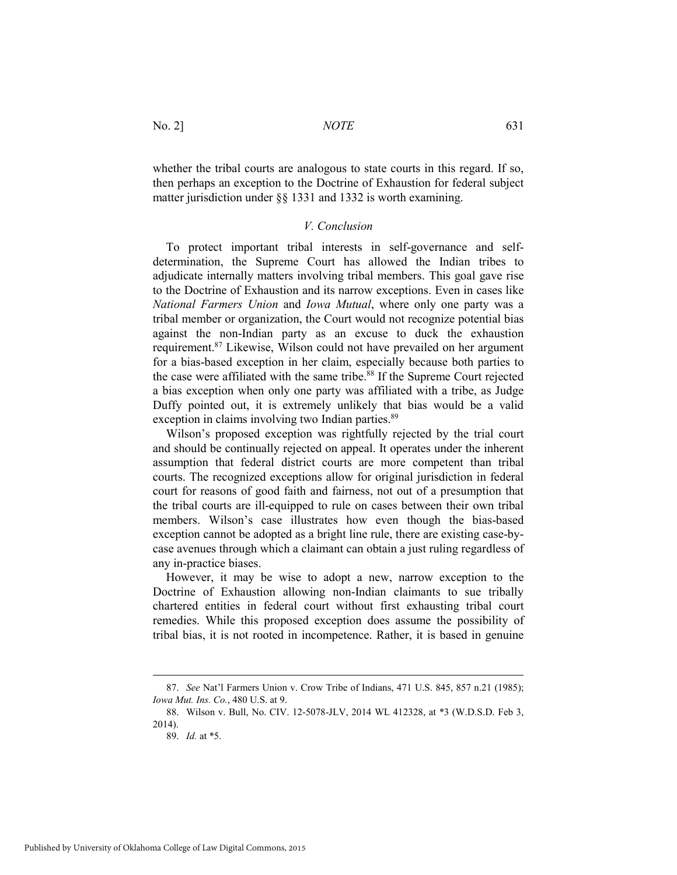whether the tribal courts are analogous to state courts in this regard. If so, then perhaps an exception to the Doctrine of Exhaustion for federal subject matter jurisdiction under §§ 1331 and 1332 is worth examining.

#### *V. Conclusion*

To protect important tribal interests in self-governance and selfdetermination, the Supreme Court has allowed the Indian tribes to adjudicate internally matters involving tribal members. This goal gave rise to the Doctrine of Exhaustion and its narrow exceptions. Even in cases like *National Farmers Union* and *Iowa Mutual*, where only one party was a tribal member or organization, the Court would not recognize potential bias against the non-Indian party as an excuse to duck the exhaustion requirement.87 Likewise, Wilson could not have prevailed on her argument for a bias-based exception in her claim, especially because both parties to the case were affiliated with the same tribe.<sup>88</sup> If the Supreme Court rejected a bias exception when only one party was affiliated with a tribe, as Judge Duffy pointed out, it is extremely unlikely that bias would be a valid exception in claims involving two Indian parties.<sup>89</sup>

Wilson's proposed exception was rightfully rejected by the trial court and should be continually rejected on appeal. It operates under the inherent assumption that federal district courts are more competent than tribal courts. The recognized exceptions allow for original jurisdiction in federal court for reasons of good faith and fairness, not out of a presumption that the tribal courts are ill-equipped to rule on cases between their own tribal members. Wilson's case illustrates how even though the bias-based exception cannot be adopted as a bright line rule, there are existing case-bycase avenues through which a claimant can obtain a just ruling regardless of any in-practice biases.

However, it may be wise to adopt a new, narrow exception to the Doctrine of Exhaustion allowing non-Indian claimants to sue tribally chartered entities in federal court without first exhausting tribal court remedies. While this proposed exception does assume the possibility of tribal bias, it is not rooted in incompetence. Rather, it is based in genuine

 <sup>87.</sup> *See* Nat'l Farmers Union v. Crow Tribe of Indians, 471 U.S. 845, 857 n.21 (1985); *Iowa Mut. Ins. Co.*, 480 U.S. at 9.

 <sup>88.</sup> Wilson v. Bull, No. CIV. 12-5078-JLV, 2014 WL 412328, at \*3 (W.D.S.D. Feb 3, 2014).

 <sup>89.</sup> *Id.* at \*5.